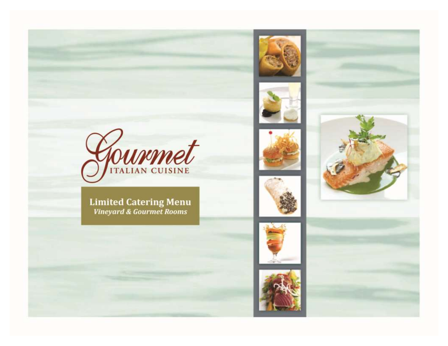











**Limited Catering Menu**<br>Vineyard & Gourmet Rooms



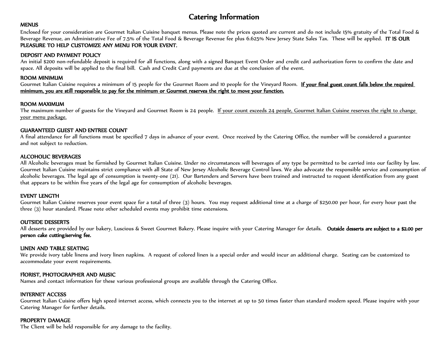### Catering Information

#### **MENUS**

Enclosed for your consideration are Gourmet Italian Cuisine banquet menus. Please note the prices quoted are current and do not include 15% gratuity of the Total Food & Beverage Revenue, an Administrative Fee of 7.5% of the Total Food & Beverage Revenue fee plus 6.625% New Jersey State Sales Tax. These will be applied. IT IS OUR PLEASURE TO HELP CUSTOMIZE ANY MENU FOR YOUR EVENT.

#### DEPOSIT AND PAYMENT POLICY

An initial \$200 non-refundable deposit is required for all functions, along with a signed Banquet Event Order and credit card authorization form to confirm the date and space. All deposits will be applied to the final bill. Cash and Credit Card payments are due at the conclusion of the event.

#### ROOM MINIMUM

Gourmet Italian Cuisine requires a minimum of 15 people for the Gourmet Room and 10 people for the Vineyard Room. If your final guest count falls below the required minimum, you are still responsible to pay for the minimum or Gourmet reserves the right to move your function.

#### ROOM MAXIMUM

The maximum number of guests for the Vineyard and Gourmet Room is 24 people. If your count exceeds 24 people, Gourmet Italian Cuisine reserves the right to change your menu package.

#### GUARANTEED GUEST AND ENTREE COUNT

A final attendance for all functions must be specified 7 days in advance of your event. Once received by the Catering Office, the number will be considered a guarantee and not subject to reduction.

#### ALCOHOLIC BEVERAGES

All Alcoholic beverages must be furnished by Gourmet Italian Cuisine. Under no circumstances will beverages of any type be permitted to be carried into our facility by law. Gourmet Italian Cuisine maintains strict compliance with all State of New Jersey Alcoholic Beverage Control laws. We also advocate the responsible service and consumption of alcoholic beverages. The legal age of consumption is twenty-one (21). Our Bartenders and Servers have been trained and instructed to request identification from any guest that appears to be within five years of the legal age for consumption of alcoholic beverages.

#### EVENT LENGTH

Gourmet Italian Cuisine reserves your event space for a total of three (3) hours. You may request additional time at a charge of \$250.00 per hour, for every hour past the three (3) hour standard. Please note other scheduled events may prohibit time extensions.

#### OUTSIDE DESSERTS

All desserts are provided by our bakery, Luscious & Sweet Gourmet Bakery. Please inquire with your Catering Manager for details. Outside desserts are subject to a \$2.00 per person cake cutting/serving fee.

#### LINEN AND TABLE SEATING

We provide ivory table linens and ivory linen napkins. A request of colored linen is a special order and would incur an additional charge. Seating can be customized to accommodate your event requirements.

#### FlORIST, PHOTOGRAPHER AND MUSIC

Names and contact information for these various professional groups are available through the Catering Office.

#### INTERNET ACCESS

Gourmet Italian Cuisine offers high speed internet access, which connects you to the internet at up to 50 times faster than standard modem speed. Please inquire with your Catering Manager for further details.

#### PROPERTY DAMAGE

The Client will be held responsible for any damage to the facility.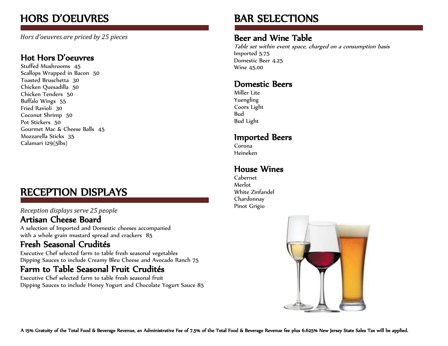## HORS D'OEUVRES

*Hors d'oeuvres are priced by 25 pieces* 

### Hot Hors D'oeuvres

Stuffed Mushrooms 45 Scallops Wrapped in Bacon 50 Toasted Bruschetta 30 Chicken Quesadilla 50 Chicken Tenders 50 Buffalo Wings 55 Fried Ravioli 30 Coconut Shrimp 50 Pot Stickers 50 Gourmet Mac & Cheese Balls 45 Mozzarella Sticks 35 Calamari 129(5lbs)

## RECEPTION DISPLAYS

#### *Reception displays serve 25 people*

### Artisan Cheese Board

A selection of Imported and Domestic cheeses accompanied with a whole grain mustard spread and crackers 85

### Fresh Seasonal Crudités

Executive Chef selected farm to table fresh seasonal vegetables Dipping Sauces to include Creamy Bleu Cheese and Avocado Ranch 75

### Farm to Table Seasonal Fruit Crudités

Executive Chef selected farm to table fresh seasonal fruit Dipping Sauces to include Honey Yogurt and Chocolate Yogurt Sauce 85

## BAR SELECTIONS

### Beer and Wine Table

Table set within event space, charged on a consumption basis Imported 5.75 Domestic Beer 4.25 Wine 45.00

### Domestic Beers

Miller Lite Yuengling Coors Light Bud Bud Light

### Imported Beers

Corona Heineken

### House Wines

Cabernet Merlot White Zinfandel Chardonnay Pinot Grigio

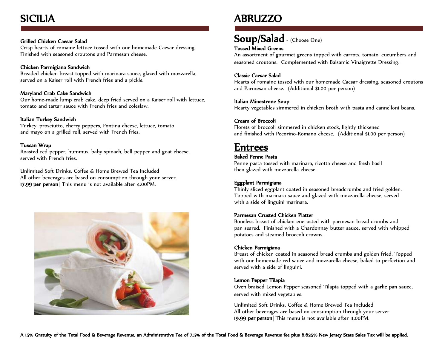## SICILIA

#### Grilled Chicken Caesar Salad

Crisp hearts of romaine lettuce tossed with our homemade Caesar dressing. Finished with seasoned croutons and Parmesan cheese.

#### Chicken Parmigiana Sandwich

Breaded chicken breast topped with marinara sauce, glazed with mozzarella, served on a Kaiser roll with French fries and a pickle.

#### Maryland Crab Cake Sandwich

Our home-made lump crab cake, deep fried served on a Kaiser roll with lettuce, tomato and tartar sauce with French fries and coleslaw.

#### Italian Turkey Sandwich

Turkey, prosciutto, cherry peppers, Fontina cheese, lettuce, tomato and mayo on a grilled roll, served with French fries.

#### Tuscan Wrap

Roasted red pepper, hummus, baby spinach, bell pepper and goat cheese, served with French fries.

Unlimited Soft Drinks, Coffee & Home Brewed Tea Included All other beverages are based on consumption through your server. 17.99 per person This menu is not available after 4:00PM.



## ABRUZZO

### Soup/Salad - (Choose One)

#### Tossed Mixed Greens

An assortment of gourmet greens topped with carrots, tomato, cucumbers and seasoned croutons. Complemented with Balsamic Vinaigrette Dressing.

#### Classic Caesar Salad

Hearts of romaine tossed with our homemade Caesar dressing, seasoned croutons and Parmesan cheese. (Additional \$1.00 per person)

#### Italian Minestrone Soup

Hearty vegetables simmered in chicken broth with pasta and cannelloni beans.

#### Cream of Broccoli

Florets of broccoli simmered in chicken stock, lightly thickened and finished with Pecorino-Romano cheese. (Additional \$1.00 per person)

### Entrees

#### Baked Penne Pasta

Penne pasta tossed with marinara, ricotta cheese and fresh basil then glazed with mozzarella cheese.

#### Eggplant Parmigiana

Thinly sliced eggplant coated in seasoned breadcrumbs and fried golden. Topped with marinara sauce and glazed with mozzarella cheese, served with a side of linguini marinara.

#### Parmesan Crusted Chicken Platter

Boneless breast of chicken encrusted with parmesan bread crumbs and pan seared. Finished with a Chardonnay butter sauce, served with whipped potatoes and steamed broccoli crowns.

#### Chicken Parmigiana

Breast of chicken coated in seasoned bread crumbs and golden fried. Topped with our homemade red sauce and mozzarella cheese, baked to perfection and served with a side of linguini.

#### Lemon Pepper Tilapia

Oven braised Lemon Pepper seasoned Tilapia topped with a garlic pan sauce, served with mixed vegetables.

Unlimited Soft Drinks, Coffee & Home Brewed Tea Included All other beverages are based on consumption through your server 19.99 per person | This menu is not available after 4:00PM.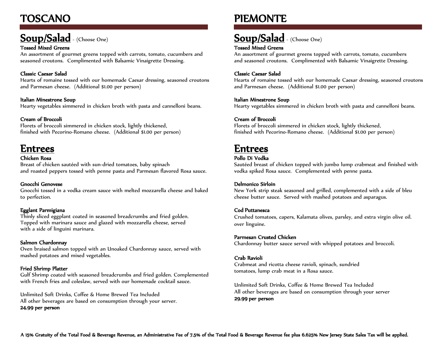## TOSCANO

## Soup/Salad - (Choose One)

#### Tossed Mixed Greens

An assortment of gourmet greens topped with carrots, tomato, cucumbers and seasoned croutons. Complimented with Balsamic Vinaigrette Dressing.

#### Classic Caesar Salad

Hearts of romaine tossed with our homemade Caesar dressing, seasoned croutons and Parmesan cheese. (Additional \$1.00 per person)

#### Italian Minestrone Soup

Hearty vegetables simmered in chicken broth with pasta and cannelloni beans.

#### Cream of Broccoli

Florets of broccoli simmered in chicken stock, lightly thickened, finished with Pecorino-Romano cheese. (Additional \$1.00 per person)

### Entrees

#### Chicken Rosa

Breast of chicken sautéed with sun-dried tomatoes, baby spinach and roasted peppers tossed with penne pasta and Parmesan flavored Rosa sauce.

#### Gnocchi Genovese

Gnocchi tossed in a vodka cream sauce with melted mozzarella cheese and baked to perfection.

#### Egglant Parmigiana

Thinly sliced eggplant coated in seasoned breadcrumbs and fried golden. Topped with marinara sauce and glazed with mozzarella cheese, served with a side of linguini marinara.

#### Salmon Chardonnay

Oven braised salmon topped with an Unoaked Chardonnay sauce, served with mashed potatoes and mixed vegetables.

#### Fried Shrimp Platter

Gulf Shrimp coated with seasoned breadcrumbs and fried golden. Complemented with French fries and coleslaw, served with our homemade cocktail sauce.

Unlimited Soft Drinks, Coffee & Home Brewed Tea Included All other beverages are based on consumption through your server. 24.99 per person

## PIEMONTE

## Soup/Salad - (Choose One)

#### Tossed Mixed Greens

An assortment of gourmet greens topped with carrots, tomato, cucumbers and seasoned croutons. Complimented with Balsamic Vinaigrette Dressing.

#### Classic Caesar Salad

Hearts of romaine tossed with our homemade Caesar dressing, seasoned croutons and Parmesan cheese. (Additional \$1.00 per person)

#### Italian Minestrone Soup

Hearty vegetables simmered in chicken broth with pasta and cannelloni beans.

#### Cream of Broccoli

Florets of broccoli simmered in chicken stock, lightly thickened, finished with Pecorino-Romano cheese. (Additional \$1.00 per person)

### Entrees

#### Pollo Di Vodka

Sautéed breast of chicken topped with jumbo lump crabmeat and finished with vodka spiked Rosa sauce. Complemented with penne pasta.

#### Delmonico Sirloin

New York strip steak seasoned and grilled, complemented with a side of bleu cheese butter sauce. Served with mashed potatoes and asparagus.

#### Cod Puttanesca

Crushed tomatoes, capers, Kalamata olives, parsley, and extra virgin olive oil. over linguine.

#### Parmesan Crusted Chicken

Chardonnay butter sauce served with whipped potatoes and broccoli.

#### Crab Ravioli

Crabmeat and ricotta cheese ravioli, spinach, sundried tomatoes, lump crab meat in a Rosa sauce.

Unlimited Soft Drinks, Coffee & Home Brewed Tea Included All other beverages are based on consumption through your server 29.99 per person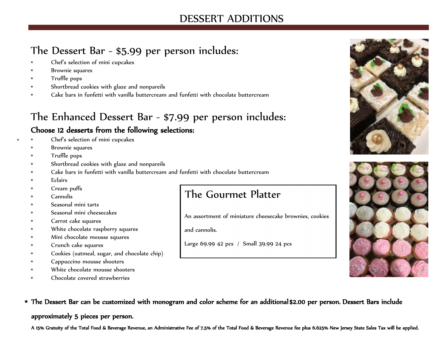### DESSERT ADDITIONS

## The Dessert Bar - \$5.99 per person includes:

- Chef's selection of mini cupcakes
- Brownie squares
- Truffle pops
- Shortbread cookies with glaze and nonpareils
- Cake bars in funfetti with vanilla buttercream and funfetti with chocolate buttercream

# The Enhanced Dessert Bar - \$7.99 per person includes:

### Choose 12 desserts from the following selections:

- Chef's selection of mini cupcakes
	- Brownie squares
	- Truffle pops
	- Shortbread cookies with glaze and nonpareils
	- Cake bars in funfetti with vanilla buttercream and funfetti with chocolate buttercream
	- Eclairs

\*

- Cream puffs
- Cannolis
- Seasonal mini tarts
- Seasonal mini cheesecakes
- Carrot cake squares
- White chocolate raspberry squares
- Mini chocolate mousse squares
- Crunch cake squares
- Cookies (oatmeal, sugar, and chocolate chip)
- Cappuccino mousse shooters
- White chocolate mousse shooters
- Chocolate covered strawberries

## The Gourmet Platter

An assortment of miniature cheesecake brownies, cookies

and cannolis.

Large 69.99 42 pcs / Small 39.99 24 pcs





The Dessert Bar can be customized with monogram and color scheme for an additional \$2.00 per person. Dessert Bars include \*

approximately 5 pieces per person.

A 15% Gratuity of the Total Food & Beverage Revenue, an Administrative Fee of 7.5% of the Total Food & Beverage Revenue fee plus 6.625% New Jersey State Sales Tax will be applied.